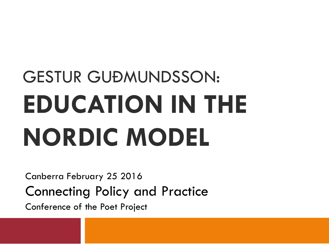# GESTUR GUÐMUNDSSON: **EDUCATION IN THE NORDIC MODEL**

Canberra February 25 2016 Connecting Policy and Practice

Conference of the Poet Project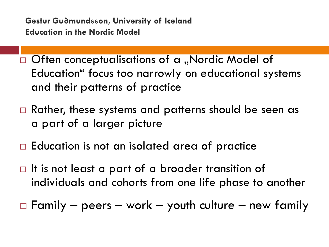- $\Box$  Often conceptualisations of a "Nordic Model of Education" focus too narrowly on educational systems and their patterns of practice
- Rather, these systems and patterns should be seen as a part of a larger picture
- $\Box$  Education is not an isolated area of practice
- $\Box$  It is not least a part of a broader transition of individuals and cohorts from one life phase to another

 $\Box$  Family – peers – work – youth culture – new family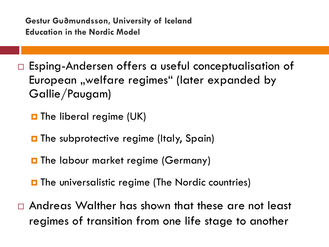□ Esping-Andersen offers a useful conceptualisation of European "welfare regimes" (later expanded by Gallie/Paugam)

 $\blacksquare$  The liberal regime (UK)

- **O** The subprotective regime (Italy, Spain)
- **O** The labour market regime (Germany)
- $\blacksquare$  The universalistic regime (The Nordic countries)
- Andreas Walther has shown that these are not least regimes of transition from one life stage to another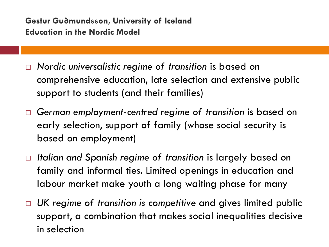- *Nordic universalistic regime of transition* is based on comprehensive education, late selection and extensive public support to students (and their families)
- *German employment-centred regime of transition* is based on early selection, support of family (whose social security is based on employment)
- *Italian and Spanish regime of transition* is largely based on family and informal ties. Limited openings in education and labour market make youth a long waiting phase for many
- *UK regime of transition is competitive* and gives limited public support, a combination that makes social inequalities decisive in selection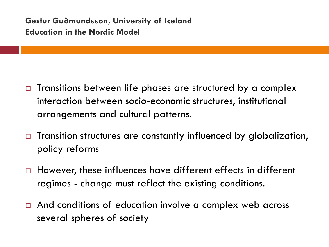- $\Box$  Transitions between life phases are structured by a complex interaction between socio-economic structures, institutional arrangements and cultural patterns.
- $\Box$  Transition structures are constantly influenced by globalization, policy reforms
- □ However, these influences have different effects in different regimes - change must reflect the existing conditions.
- □ And conditions of education involve a complex web across several spheres of society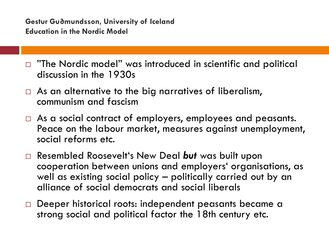- $\Box$  "The Nordic model" was introduced in scientific and political discussion in the 1930s
- $\Box$  As an alternative to the big narratives of liberalism, communism and fascism
- $\Box$  As a social contract of employers, employees and peasants. Peace on the labour market, measures against unemployment, social reforms etc.
- Resembled Roosevelt's New Deal *but* was built upon cooperation between unions and employers' organisations, as well as existing social policy – politically carried out by an alliance of social democrats and social liberals
- □ Deeper historical roots: independent peasants became a strong social and political factor the 18th century etc.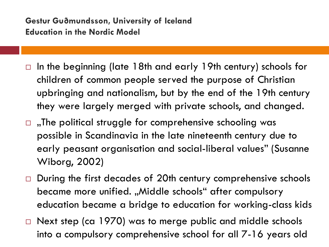- $\Box$  In the beginning (late 18th and early 19th century) schools for children of common people served the purpose of Christian upbringing and nationalism, but by the end of the 19th century they were largely merged with private schools, and changed.
- $\Box$ , The political struggle for comprehensive schooling was possible in Scandinavia in the late nineteenth century due to early peasant organisation and social-liberal values" (Susanne Wiborg, 2002)
- $\Box$  During the first decades of 20th century comprehensive schools became more unified. "Middle schools" after compulsory education became a bridge to education for working-class kids
- $\Box$  Next step (ca 1970) was to merge public and middle schools into a compulsory comprehensive school for all 7-16 years old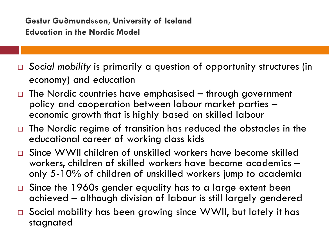- *Social mobility* is primarily a question of opportunity structures (in economy) and education
- $\Box$  The Nordic countries have emphasised through government policy and cooperation between labour market parties – economic growth that is highly based on skilled labour
- $\Box$  The Nordic regime of transition has reduced the obstacles in the educational career of working class kids
- □ Since WWII children of unskilled workers have become skilled workers, children of skilled workers have become academics –<br>only 5-10% of children of unskilled workers jump to academia
- □ Since the 1960s gender equality has to a large extent been achieved – although division of labour is still largely gendered
- □ Social mobility has been growing since WWII, but lately it has stagnated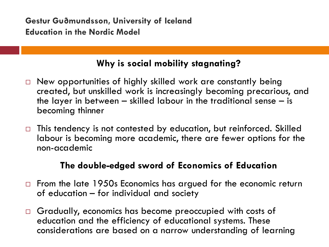# **Why is social mobility stagnating?**

- $\Box$  New opportunities of highly skilled work are constantly being created, but unskilled work is increasingly becoming precarious, and the layer in between – skilled labour in the traditional sense – is becoming thinner
- $\Box$  This tendency is not contested by education, but reinforced. Skilled labour is becoming more academic, there are fewer options for the non-academic

# **The double-edged sword of Economics of Education**

- $\Box$  From the late 1950s Economics has argued for the economic return of education – for individual and society
- Gradually, economics has become preoccupied with costs of education and the efficiency of educational systems. These considerations are based on a narrow understanding of learning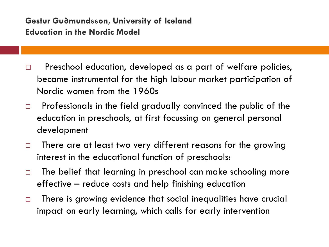- D Preschool education, developed as a part of welfare policies, became instrumental for the high labour market participation of Nordic women from the 1960s
- $\Box$  Professionals in the field gradually convinced the public of the education in preschools, at first focussing on general personal development
- $\Box$  There are at least two very different reasons for the growing interest in the educational function of preschools:
- $\Box$  The belief that learning in preschool can make schooling more effective – reduce costs and help finishing education
- $\Box$  There is growing evidence that social inequalities have crucial impact on early learning, which calls for early intervention